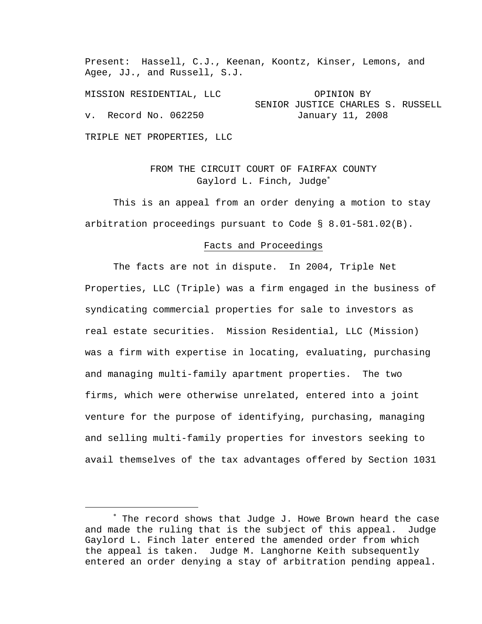Present: Hassell, C.J., Keenan, Koontz, Kinser, Lemons, and Agee, JJ., and Russell, S.J.

MISSION RESIDENTIAL, LLC OPINION BY SENIOR JUSTICE CHARLES S. RUSSELL v. Record No. 062250 January 11, 2008

TRIPLE NET PROPERTIES, LLC

 $\overline{\phantom{0}}$ 

# FROM THE CIRCUIT COURT OF FAIRFAX COUNTY Gaylord L. Finch, Judge<sup>\*</sup>

 This is an appeal from an order denying a motion to stay arbitration proceedings pursuant to Code § 8.01-581.02(B).

### Facts and Proceedings

 The facts are not in dispute. In 2004, Triple Net Properties, LLC (Triple) was a firm engaged in the business of syndicating commercial properties for sale to investors as real estate securities. Mission Residential, LLC (Mission) was a firm with expertise in locating, evaluating, purchasing and managing multi-family apartment properties. The two firms, which were otherwise unrelated, entered into a joint venture for the purpose of identifying, purchasing, managing and selling multi-family properties for investors seeking to avail themselves of the tax advantages offered by Section 1031

<sup>∗</sup> The record shows that Judge J. Howe Brown heard the case and made the ruling that is the subject of this appeal. Judge Gaylord L. Finch later entered the amended order from which the appeal is taken. Judge M. Langhorne Keith subsequently entered an order denying a stay of arbitration pending appeal.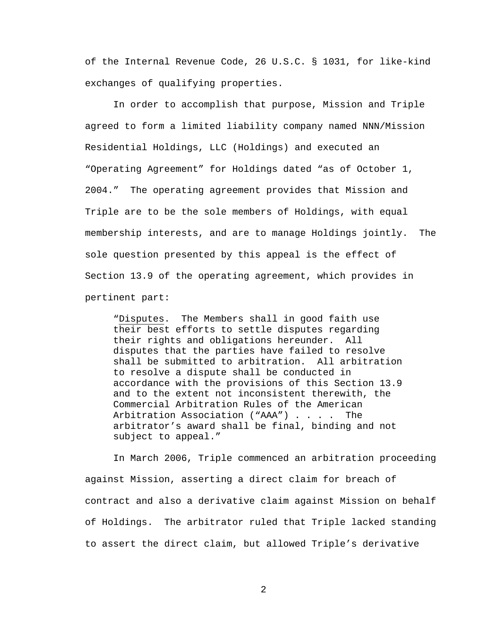of the Internal Revenue Code, 26 U.S.C. § 1031, for like-kind exchanges of qualifying properties.

 In order to accomplish that purpose, Mission and Triple agreed to form a limited liability company named NNN/Mission Residential Holdings, LLC (Holdings) and executed an "Operating Agreement" for Holdings dated "as of October 1, 2004." The operating agreement provides that Mission and Triple are to be the sole members of Holdings, with equal membership interests, and are to manage Holdings jointly. The sole question presented by this appeal is the effect of Section 13.9 of the operating agreement, which provides in pertinent part:

"Disputes. The Members shall in good faith use their best efforts to settle disputes regarding their rights and obligations hereunder. All disputes that the parties have failed to resolve shall be submitted to arbitration. All arbitration to resolve a dispute shall be conducted in accordance with the provisions of this Section 13.9 and to the extent not inconsistent therewith, the Commercial Arbitration Rules of the American Arbitration Association ("AAA") . . . . The arbitrator's award shall be final, binding and not subject to appeal."

 In March 2006, Triple commenced an arbitration proceeding against Mission, asserting a direct claim for breach of contract and also a derivative claim against Mission on behalf of Holdings. The arbitrator ruled that Triple lacked standing to assert the direct claim, but allowed Triple's derivative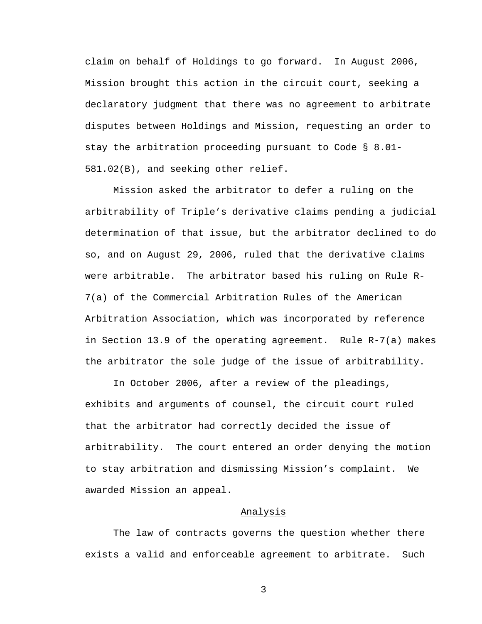claim on behalf of Holdings to go forward. In August 2006, Mission brought this action in the circuit court, seeking a declaratory judgment that there was no agreement to arbitrate disputes between Holdings and Mission, requesting an order to stay the arbitration proceeding pursuant to Code § 8.01- 581.02(B), and seeking other relief.

 Mission asked the arbitrator to defer a ruling on the arbitrability of Triple's derivative claims pending a judicial determination of that issue, but the arbitrator declined to do so, and on August 29, 2006, ruled that the derivative claims were arbitrable. The arbitrator based his ruling on Rule R-7(a) of the Commercial Arbitration Rules of the American Arbitration Association, which was incorporated by reference in Section 13.9 of the operating agreement. Rule R-7(a) makes the arbitrator the sole judge of the issue of arbitrability.

 In October 2006, after a review of the pleadings, exhibits and arguments of counsel, the circuit court ruled that the arbitrator had correctly decided the issue of arbitrability. The court entered an order denying the motion to stay arbitration and dismissing Mission's complaint. We awarded Mission an appeal.

### Analysis

 The law of contracts governs the question whether there exists a valid and enforceable agreement to arbitrate. Such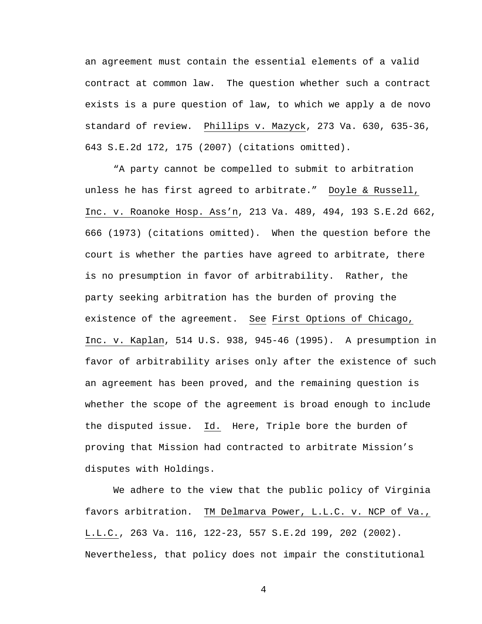an agreement must contain the essential elements of a valid contract at common law. The question whether such a contract exists is a pure question of law, to which we apply a de novo standard of review. Phillips v. Mazyck, 273 Va. 630, 635-36, 643 S.E.2d 172, 175 (2007) (citations omitted).

 "A party cannot be compelled to submit to arbitration unless he has first agreed to arbitrate." Doyle & Russell, Inc. v. Roanoke Hosp. Ass'n, 213 Va. 489, 494, 193 S.E.2d 662, 666 (1973) (citations omitted). When the question before the court is whether the parties have agreed to arbitrate, there is no presumption in favor of arbitrability. Rather, the party seeking arbitration has the burden of proving the existence of the agreement. See First Options of Chicago, Inc. v. Kaplan, 514 U.S. 938, 945-46 (1995). A presumption in favor of arbitrability arises only after the existence of such an agreement has been proved, and the remaining question is whether the scope of the agreement is broad enough to include the disputed issue. Id. Here, Triple bore the burden of proving that Mission had contracted to arbitrate Mission's disputes with Holdings.

 We adhere to the view that the public policy of Virginia favors arbitration. TM Delmarva Power, L.L.C. v. NCP of Va., L.L.C., 263 Va. 116, 122-23, 557 S.E.2d 199, 202 (2002). Nevertheless, that policy does not impair the constitutional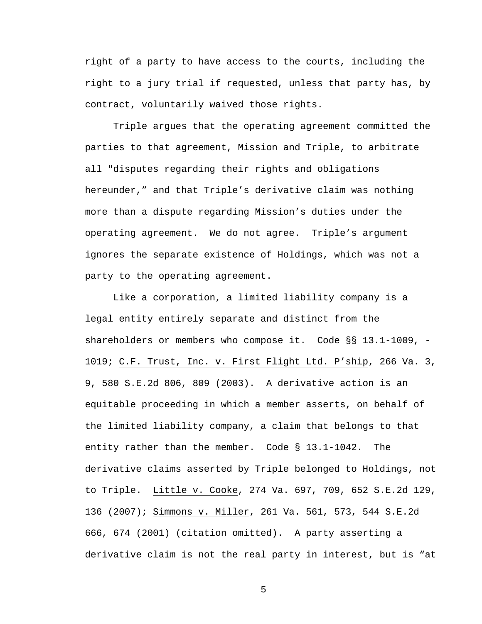right of a party to have access to the courts, including the right to a jury trial if requested, unless that party has, by contract, voluntarily waived those rights.

 Triple argues that the operating agreement committed the parties to that agreement, Mission and Triple, to arbitrate all "disputes regarding their rights and obligations hereunder," and that Triple's derivative claim was nothing more than a dispute regarding Mission's duties under the operating agreement. We do not agree. Triple's argument ignores the separate existence of Holdings, which was not a party to the operating agreement.

 Like a corporation, a limited liability company is a legal entity entirely separate and distinct from the shareholders or members who compose it. Code §§ 13.1-1009, -1019; C.F. Trust, Inc. v. First Flight Ltd. P'ship, 266 Va. 3, 9, 580 S.E.2d 806, 809 (2003). A derivative action is an equitable proceeding in which a member asserts, on behalf of the limited liability company, a claim that belongs to that entity rather than the member. Code § 13.1-1042. The derivative claims asserted by Triple belonged to Holdings, not to Triple. Little v. Cooke, 274 Va. 697, 709, 652 S.E.2d 129, 136 (2007); Simmons v. Miller, 261 Va. 561, 573, 544 S.E.2d 666, 674 (2001) (citation omitted). A party asserting a derivative claim is not the real party in interest, but is "at